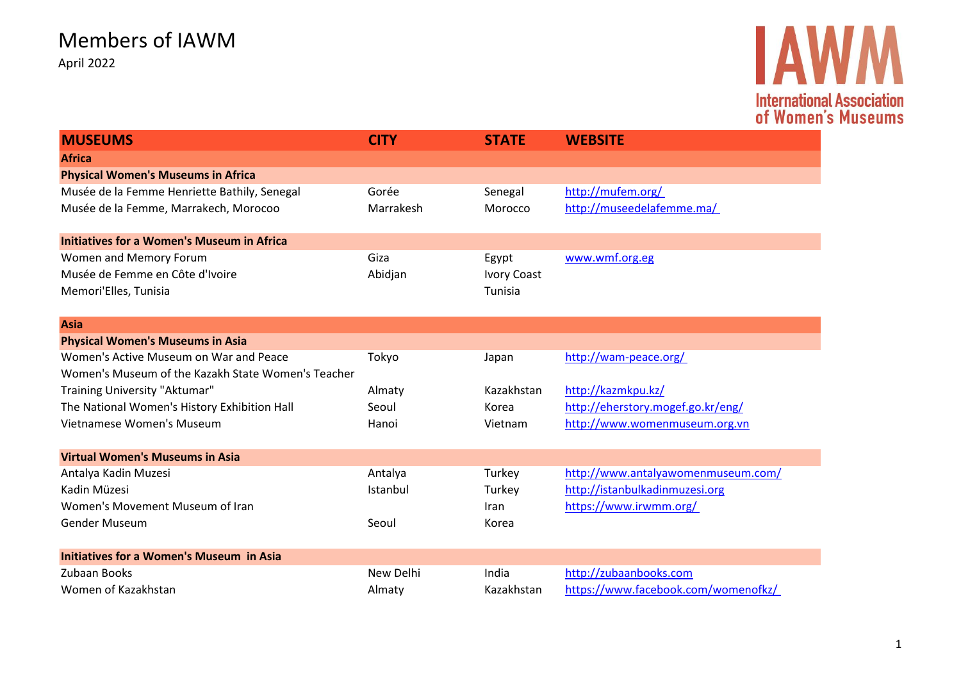

| <b>MUSEUMS</b>                                     | <b>CITY</b> | <b>STATE</b>       | <b>WEBSITE</b>                      |
|----------------------------------------------------|-------------|--------------------|-------------------------------------|
| <b>Africa</b>                                      |             |                    |                                     |
| <b>Physical Women's Museums in Africa</b>          |             |                    |                                     |
| Musée de la Femme Henriette Bathily, Senegal       | Gorée       | Senegal            | http://mufem.org/                   |
| Musée de la Femme, Marrakech, Morocoo              | Marrakesh   | Morocco            | http://museedelafemme.ma/           |
| <b>Initiatives for a Women's Museum in Africa</b>  |             |                    |                                     |
| Women and Memory Forum                             | Giza        | Egypt              | www.wmf.org.eg                      |
| Musée de Femme en Côte d'Ivoire                    | Abidjan     | <b>Ivory Coast</b> |                                     |
| Memori'Elles, Tunisia                              |             | Tunisia            |                                     |
| <b>Asia</b>                                        |             |                    |                                     |
| <b>Physical Women's Museums in Asia</b>            |             |                    |                                     |
| Women's Active Museum on War and Peace             | Tokyo       | Japan              | http://wam-peace.org/               |
| Women's Museum of the Kazakh State Women's Teacher |             |                    |                                     |
| Training University "Aktumar"                      | Almaty      | Kazakhstan         | http://kazmkpu.kz/                  |
| The National Women's History Exhibition Hall       | Seoul       | Korea              | http://eherstory.mogef.go.kr/eng/   |
| Vietnamese Women's Museum                          | Hanoi       | Vietnam            | http://www.womenmuseum.org.vn       |
| <b>Virtual Women's Museums in Asia</b>             |             |                    |                                     |
| Antalya Kadin Muzesi                               | Antalya     | Turkey             | http://www.antalyawomenmuseum.com/  |
| Kadin Müzesi                                       | Istanbul    | Turkey             | http://istanbulkadinmuzesi.org      |
| Women's Movement Museum of Iran                    |             | Iran               | https://www.irwmm.org/              |
| Gender Museum                                      | Seoul       | Korea              |                                     |
| <b>Initiatives for a Women's Museum in Asia</b>    |             |                    |                                     |
| Zubaan Books                                       | New Delhi   | India              | http://zubaanbooks.com              |
| Women of Kazakhstan                                | Almaty      | Kazakhstan         | https://www.facebook.com/womenofkz/ |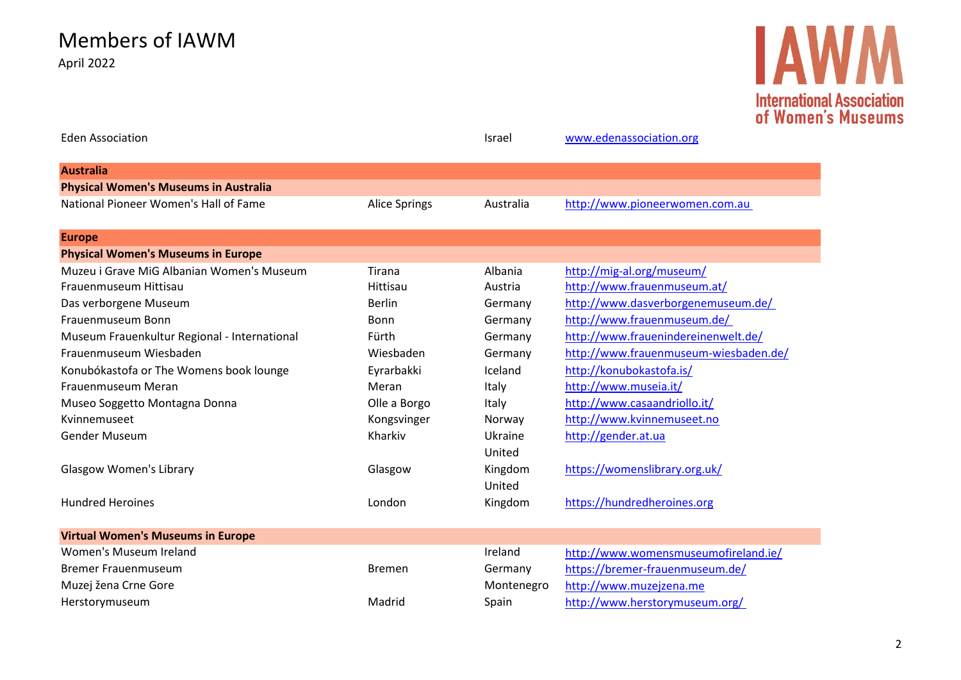Members of IAWM April 2022

# **IAWM International Association<br>of Women's Museums**

| <b>Eden Association</b>                      |               | <b>Israel</b> | www.edenassociation.org               |
|----------------------------------------------|---------------|---------------|---------------------------------------|
| <b>Australia</b>                             |               |               |                                       |
| <b>Physical Women's Museums in Australia</b> |               |               |                                       |
| National Pioneer Women's Hall of Fame        | Alice Springs | Australia     | http://www.pioneerwomen.com.au        |
| <b>Europe</b>                                |               |               |                                       |
| <b>Physical Women's Museums in Europe</b>    |               |               |                                       |
| Muzeu i Grave MiG Albanian Women's Museum    | Tirana        | Albania       | http://mig-al.org/museum/             |
| Frauenmuseum Hittisau                        | Hittisau      | Austria       | http://www.frauenmuseum.at/           |
| Das verborgene Museum                        | <b>Berlin</b> | Germany       | http://www.dasverborgenemuseum.de/    |
| Frauenmuseum Bonn                            | <b>Bonn</b>   | Germany       | http://www.frauenmuseum.de/           |
| Museum Frauenkultur Regional - International | Fürth         | Germany       | http://www.frauenindereinenwelt.de/   |
| Frauenmuseum Wiesbaden                       | Wiesbaden     | Germany       | http://www.frauenmuseum-wiesbaden.de/ |
| Konubókastofa or The Womens book lounge      | Eyrarbakki    | Iceland       | http://konubokastofa.is/              |
| Frauenmuseum Meran                           | Meran         | Italy         | http://www.museia.it/                 |
| Museo Soggetto Montagna Donna                | Olle a Borgo  | Italy         | http://www.casaandriollo.it/          |
| Kvinnemuseet                                 | Kongsvinger   | Norway        | http://www.kvinnemuseet.no            |
| Gender Museum                                | Kharkiv       | Ukraine       | http://gender.at.ua                   |
|                                              |               | United        |                                       |
| <b>Glasgow Women's Library</b>               | Glasgow       | Kingdom       | https://womenslibrary.org.uk/         |
|                                              |               | United        |                                       |
| <b>Hundred Heroines</b>                      | London        | Kingdom       | https://hundredheroines.org           |
| <b>Virtual Women's Museums in Europe</b>     |               |               |                                       |
| Women's Museum Ireland                       |               | Ireland       | http://www.womensmuseumofireland.ie/  |
| <b>Bremer Frauenmuseum</b>                   | <b>Bremen</b> | Germany       | https://bremer-frauenmuseum.de/       |
| Muzej žena Crne Gore                         |               | Montenegro    | http://www.muzejzena.me               |
| Herstorymuseum                               | Madrid        | Spain         | http://www.herstorymuseum.org/        |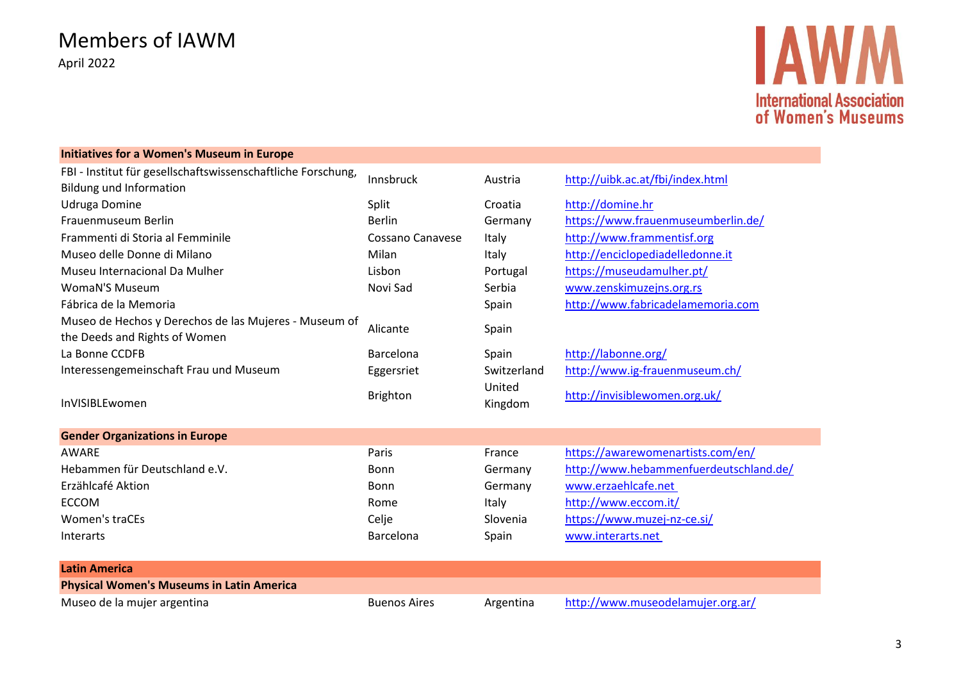### Members of IAWM April 2022

## **IAW International Association** of Women's Museums

#### **Initiatives for a Women's Museum in Europe** FBI - Institut für gesellschaftswissenschaftliche Forschung, Bildung und Information<br>Bildung und Information Udruga Domine **Split** Croatia [http://domine.hr](http://domine.hr/) Frauenmuseum Berlin and Berlin Berlin Berlin Germany <https://www.frauenmuseumberlin.de/> Frammenti di Storia al Femminile Cossano Canavese Italy [http://www.frammentisf.org](http://www.frammentisf.org/) Museo delle Donne di Milano **Milano Constantino di Milan** Milan italy [http://enciclopediadelledonne.it](http://enciclopediadelledonne.it/) Museu Internacional Da Mulher Lisbon Lisbon Lisbon Portugal <https://museudamulher.pt/> WomaN'S Museum Novi Sad Serbia [www.zenskimuzejns.org.rs](http://www.zenskimuzejns.org.rs/) Fábrica de la Memoria de la Memoria Spain de la Memoria.com Museo de Hechos y Derechos de las Mujeres - Museum of the Deeds and Rights of Women<br>the Deeds and Rights of Women La Bonne CCDFB **Barcelona** Barcelona Spain <http://labonne.org/> Interessengemeinschaft Frau und Museum Eggersriet Switzerland <http://www.ig-frauenmuseum.ch/> United است السابقة التي تقويت المستوى التي تقويت التي تقويت التي تقويت التي تقويت التي تقويت التي تقويت التي ت<br>Ringdoi التي تقويت التي تقويت التي تقويت التي تقويت التي تقويت التي تقويت التي تقويت التي تقويت التي تقويت الت United<br>Kingdom <http://invisiblewomen.org.uk/> **Gender Organizations in Europe** AWARE Paris France <https://awarewomenartists.com/en/> Hebammen für Deutschland e.V. The Bonn Germany Hebammenfuerdeutschland.de/ Erzählcafé Aktion Bonn Germany [www.erzaehlcafe.net](http://www.erzaehlcafe.net/)  ECCOM Rome Italy <http://www.eccom.it/> Women's traCEs and the Slovenia Celje Slovenia <https://www.muzej-nz-ce.si/> Interarts **Barcelona** Spain www.interarts.net **Latin America Physical Women's Museums in Latin America** Museo de la mujer argentina entry and the second Buenos Aires Argentina <http://www.museodelamujer.org.ar/>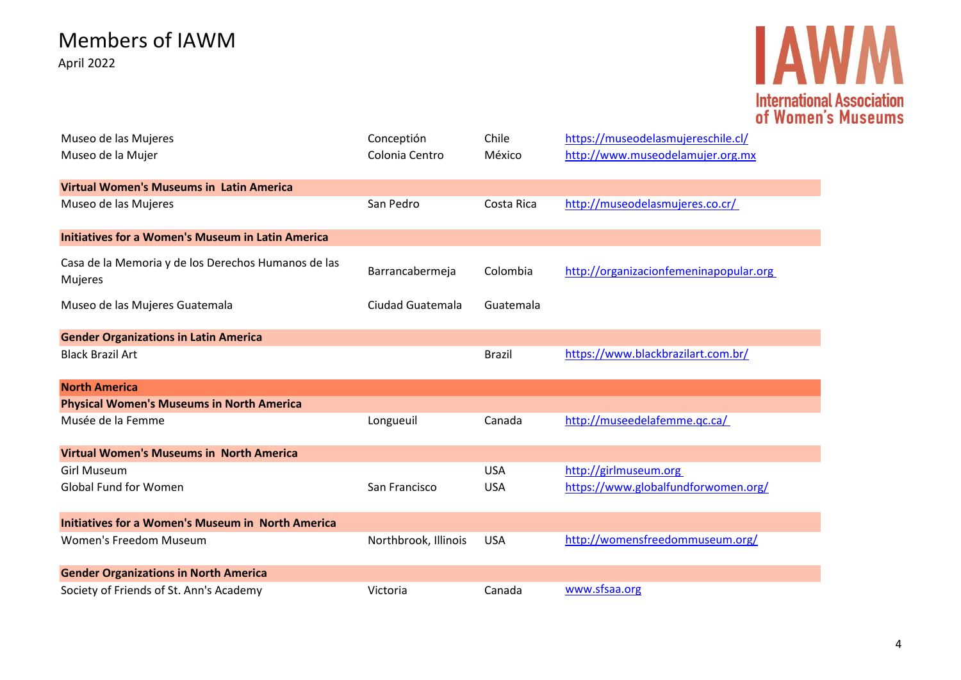## **IAWM International Association<br>of Women's Museums**

| Museo de las Mujeres                                     | Conceptión           | Chile         | https://museodelasmujereschile.cl/     |
|----------------------------------------------------------|----------------------|---------------|----------------------------------------|
| Museo de la Mujer                                        | Colonia Centro       | México        | http://www.museodelamujer.org.mx       |
|                                                          |                      |               |                                        |
| <b>Virtual Women's Museums in Latin America</b>          |                      |               |                                        |
| Museo de las Mujeres                                     | San Pedro            | Costa Rica    | http://museodelasmujeres.co.cr/        |
| <b>Initiatives for a Women's Museum in Latin America</b> |                      |               |                                        |
| Casa de la Memoria y de los Derechos Humanos de las      |                      |               |                                        |
| Mujeres                                                  | Barrancabermeja      | Colombia      | http://organizacionfemeninapopular.org |
| Museo de las Mujeres Guatemala                           | Ciudad Guatemala     | Guatemala     |                                        |
|                                                          |                      |               |                                        |
| <b>Gender Organizations in Latin America</b>             |                      |               |                                        |
| <b>Black Brazil Art</b>                                  |                      | <b>Brazil</b> | https://www.blackbrazilart.com.br/     |
| <b>North America</b>                                     |                      |               |                                        |
| <b>Physical Women's Museums in North America</b>         |                      |               |                                        |
| Musée de la Femme                                        | Longueuil            | Canada        | http://museedelafemme.qc.ca/           |
| <b>Virtual Women's Museums in North America</b>          |                      |               |                                        |
| Girl Museum                                              |                      | <b>USA</b>    | http://girlmuseum.org                  |
| <b>Global Fund for Women</b>                             | San Francisco        | <b>USA</b>    | https://www.globalfundforwomen.org/    |
|                                                          |                      |               |                                        |
| <b>Initiatives for a Women's Museum in North America</b> |                      |               |                                        |
| <b>Women's Freedom Museum</b>                            | Northbrook, Illinois | <b>USA</b>    | http://womensfreedommuseum.org/        |
| <b>Gender Organizations in North America</b>             |                      |               |                                        |
| Society of Friends of St. Ann's Academy                  | Victoria             | Canada        | www.sfsaa.org                          |